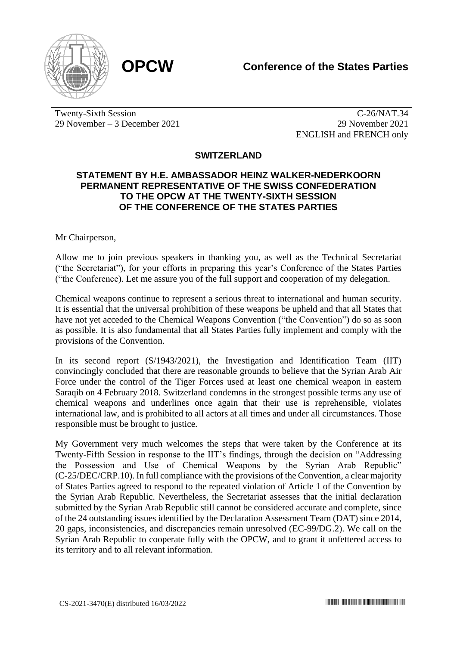

Twenty-Sixth Session 29 November – 3 December 2021

C-26/NAT.34 29 November 2021 ENGLISH and FRENCH only

## **SWITZERLAND**

## **STATEMENT BY H.E. AMBASSADOR HEINZ WALKER-NEDERKOORN PERMANENT REPRESENTATIVE OF THE SWISS CONFEDERATION TO THE OPCW AT THE TWENTY-SIXTH SESSION OF THE CONFERENCE OF THE STATES PARTIES**

Mr Chairperson,

Allow me to join previous speakers in thanking you, as well as the Technical Secretariat ("the Secretariat"), for your efforts in preparing this year's Conference of the States Parties ("the Conference). Let me assure you of the full support and cooperation of my delegation.

Chemical weapons continue to represent a serious threat to international and human security. It is essential that the universal prohibition of these weapons be upheld and that all States that have not yet acceded to the Chemical Weapons Convention ("the Convention") do so as soon as possible. It is also fundamental that all States Parties fully implement and comply with the provisions of the Convention.

In its second report (S/1943/2021), the Investigation and Identification Team (IIT) convincingly concluded that there are reasonable grounds to believe that the Syrian Arab Air Force under the control of the Tiger Forces used at least one chemical weapon in eastern Saraqib on 4 February 2018. Switzerland condemns in the strongest possible terms any use of chemical weapons and underlines once again that their use is reprehensible, violates international law, and is prohibited to all actors at all times and under all circumstances. Those responsible must be brought to justice.

My Government very much welcomes the steps that were taken by the Conference at its Twenty-Fifth Session in response to the IIT's findings, through the decision on "Addressing the Possession and Use of Chemical Weapons by the Syrian Arab Republic" (C-25/DEC/CRP.10). In full compliance with the provisions of the Convention, a clear majority of States Parties agreed to respond to the repeated violation of Article 1 of the Convention by the Syrian Arab Republic. Nevertheless, the Secretariat assesses that the initial declaration submitted by the Syrian Arab Republic still cannot be considered accurate and complete, since of the 24 outstanding issues identified by the Declaration Assessment Team (DAT) since 2014, 20 gaps, inconsistencies, and discrepancies remain unresolved (EC-99/DG.2). We call on the Syrian Arab Republic to cooperate fully with the OPCW, and to grant it unfettered access to its territory and to all relevant information.